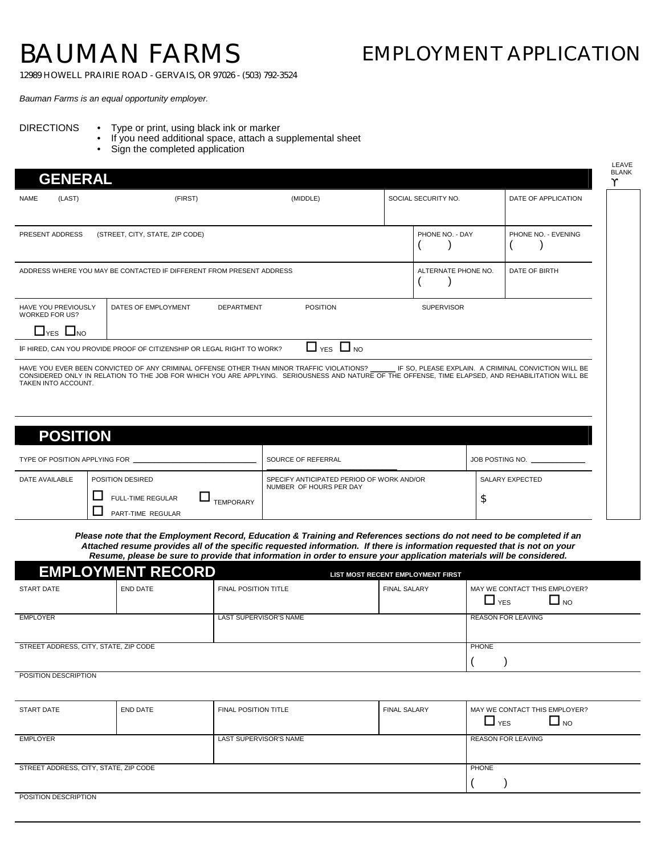## BAUMAN FARMS

## EMPLOYMENT APPLICATION

12989 HOWELL PRAIRIE ROAD - GERVAIS, OR 97026 - (503) 792-3524

*Bauman Farms is an equal opportunity employer.*

## DIRECTIONS • Type or print, using black ink or marker

- If you need additional space, attach a supplemental sheet
- Sign the completed application

| <b>GENERAL</b>                                      |                                                                        |                                                                                                                                                                                                                                                 |                     |                                                      |
|-----------------------------------------------------|------------------------------------------------------------------------|-------------------------------------------------------------------------------------------------------------------------------------------------------------------------------------------------------------------------------------------------|---------------------|------------------------------------------------------|
| (LAST)<br><b>NAME</b>                               | (FIRST)                                                                | (MIDDLE)                                                                                                                                                                                                                                        | SOCIAL SECURITY NO. | DATE OF APPLICATION                                  |
| PRESENT ADDRESS                                     | (STREET, CITY, STATE, ZIP CODE)                                        |                                                                                                                                                                                                                                                 | PHONE NO. - DAY     | PHONE NO. - EVENING                                  |
|                                                     | ADDRESS WHERE YOU MAY BE CONTACTED IF DIFFERENT FROM PRESENT ADDRESS   |                                                                                                                                                                                                                                                 | ALTERNATE PHONE NO. | DATE OF BIRTH                                        |
| <b>HAVE YOU PREVIOUSLY</b><br><b>WORKED FOR US?</b> | DATES OF EMPLOYMENT                                                    | <b>POSITION</b><br><b>DEPARTMENT</b>                                                                                                                                                                                                            | <b>SUPERVISOR</b>   |                                                      |
| $\Box$ YES $\Box$ NO                                | IF HIRED, CAN YOU PROVIDE PROOF OF CITIZENSHIP OR LEGAL RIGHT TO WORK? | $\Box$ YES $\Box$ NO                                                                                                                                                                                                                            |                     |                                                      |
| TAKEN INTO ACCOUNT.                                 |                                                                        | HAVE YOU EVER BEEN CONVICTED OF ANY CRIMINAL OFFENSE OTHER THAN MINOR TRAFFIC VIOLATIONS?<br>CONSIDERED ONLY IN RELATION TO THE JOB FOR WHICH YOU ARE APPLYING. SERIOUSNESS AND NATURE OF THE OFFENSE, TIME ELAPSED, AND REHABILITATION WILL BE |                     | IF SO, PLEASE EXPLAIN. A CRIMINAL CONVICTION WILL BE |
| <b>POSITION</b>                                     |                                                                        |                                                                                                                                                                                                                                                 |                     |                                                      |
| TYPE OF POSITION APPLYING FOR                       |                                                                        | SOURCE OF REFERRAL                                                                                                                                                                                                                              |                     | JOB POSTING NO.                                      |

| TYPE OF POSITION APPLYING FOR |                                                                                       |  | SOURCE OF REFERRAL                                                   | JOB POSTING NO. |
|-------------------------------|---------------------------------------------------------------------------------------|--|----------------------------------------------------------------------|-----------------|
| DATE AVAILABLE                | POSITION DESIRED<br><b>FULL-TIME REGULAR</b><br><b>TEMPORARY</b><br>PART-TIME REGULAR |  | SPECIFY ANTICIPATED PERIOD OF WORK AND/OR<br>NUMBER OF HOURS PER DAY | SALARY EXPECTED |

*Please note that the Employment Record, Education & Training and References sections do not need to be completed if an Attached resume provides all of the specific requested information. If there is information requested that is not on your Resume, please be sure to provide that information in order to ensure your application materials will be considered.*

|                                       | <b>EMPLOYMENT RECORD</b> |                             | LIST MOST RECENT EMPLOYMENT FIRST |                                                     |
|---------------------------------------|--------------------------|-----------------------------|-----------------------------------|-----------------------------------------------------|
| START DATE                            | END DATE                 | <b>FINAL POSITION TITLE</b> | <b>FINAL SALARY</b>               | MAY WE CONTACT THIS EMPLOYER?<br>$\Box$ YES<br>ш но |
| <b>EMPLOYER</b>                       |                          | LAST SUPERVISOR'S NAME      |                                   | <b>REASON FOR LEAVING</b>                           |
| STREET ADDRESS, CITY, STATE, ZIP CODE |                          |                             |                                   | <b>PHONE</b>                                        |

POSITION DESCRIPTION

| <b>START DATE</b>                     | <b>END DATE</b> | <b>FINAL POSITION TITLE</b> | <b>FINAL SALARY</b> | MAY WE CONTACT THIS EMPLOYER?<br>$\Box$ NO<br><b>L</b> YES |
|---------------------------------------|-----------------|-----------------------------|---------------------|------------------------------------------------------------|
| <b>EMPLOYER</b>                       |                 | LAST SUPERVISOR'S NAME      |                     | <b>REASON FOR LEAVING</b>                                  |
| STREET ADDRESS, CITY, STATE, ZIP CODE |                 |                             |                     | <b>PHONE</b>                                               |
| POSITION DESCRIPTION                  |                 |                             |                     |                                                            |